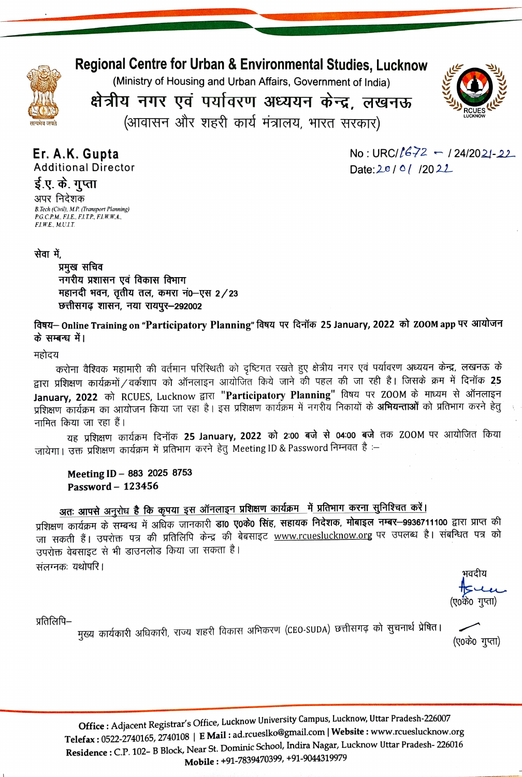

**Regional Centre for Urban & Environmental Studies, Lucknow** 

(Ministry of Housing and Urban Affairs, Government of India)

क्षेत्रीय नगर एवं पर्यावरण अध्ययन केन्द्र, लखनऊ (आवासन और शहरी कार्य मंत्रालय, भारत सरकार)



Er. A.K. Gupta **Additional Director**  No: URC/ $l$ 672 - 124/2021-22 Date:  $20/0/12022$ 

ई.ए. के. गुप्ता अपर निदेशक B.Tech (Civil), M.P. (Transport Planning) P.G.C.P.M., F.I.E., F.I.T.P., F.I.W.W.A.,  $E1$ , W.E., M.U.I.T.

### सेवा में.

प्रमुख सचिव नगरीय प्रशासन एवं विकास विभाग महानदी भवन, तृतीय तल, कमरा नं0-एस 2/23 छत्तीसगढ़ शासन, नया रायपूर-292002

विषय– Online Training on "Participatory Planning" विषय पर दिनॉक 25 January, 2022 को ZOOM app पर आयोजन के सम्बन्ध में।

#### महोदय

करोना वैश्विक महामारी की वर्तमान परिस्थिती को दृष्टिगत रखते हुए क्षेत्रीय नगर एवं पर्यावरण अध्ययन केन्द्र, लखनऊ के द्वारा प्रशिक्षण कार्यक्रमों / वर्कशाप को ऑनलाइन आयोजित किये जाने की पहल की जा रही है। जिसके क्रम में दिनॉक 25 January, 2022 को RCUES, Lucknow द्वारा "Participatory Planning" विषय पर ZOOM के माध्यम से ऑनलाइन प्रशिक्षण कार्यक्रम का आयोजन किया जा रहा है। इस प्रशिक्षण कार्यक्रम में नगरीय निकायों के **अभियन्ताओं** को प्रतिभाग करने हेत् नामित किया जा रहा हैं।

यह प्रशिक्षण कार्यक्रम दिनॉक 25 January, 2022 को 2:00 बजे से 04:00 बजे तक ZOOM पर आयोजित किया जायेगा। उक्त प्रशिक्षण कार्यक्रम में प्रतिभाग करने हेतु Meeting ID & Password निम्नवत है :–

Meeting ID - 883 2025 8753 Password - 123456

# अतः आपसे अनुरोध है कि कृपया इस ऑनलाइन प्रशिक्षण कार्यक्रम में प्रतिभाग करना सुनिश्चित करें।

प्रशिक्षण कार्यक्रम के सम्बन्ध में अधिक जानकारी डा0 ए0के0 सिंह, सहायक निदेशक, मोबाइल नम्बर-9936711100 द्वारा प्राप्त की जा सकती हैं। उपरोक्त पत्र की प्रतिलिपि केन्द्र की बेबसाइट www.rcueslucknow.org पर उपलब्ध है। संबन्धित पत्र को उपरोक्त वेबसाइट से भी डाउनलोड किया जा सकता है। संलग्नकः यथोपरि।

भवदीय (ए०के० गुप्ता)

प्रतिलिपि–

मुख्य कार्यकारी अधिकारी, राज्य शहरी विकास अभिकरण (CEO-SUDA) छत्तीसगढ़ को सुचनार्थ प्रेषित। (ए०के० गुप्ता)

Office: Adjacent Registrar's Office, Lucknow University Campus, Lucknow, Uttar Pradesh-226007 Telefax: 0522-2740165, 2740108 | E Mail: ad.rcueslko@gmail.com | Website: www.rcueslucknow.org Residence : C.P. 102- B Block, Near St. Dominic School, Indira Nagar, Lucknow Uttar Pradesh-226016 Mobile: +91-7839470399, +91-9044319979